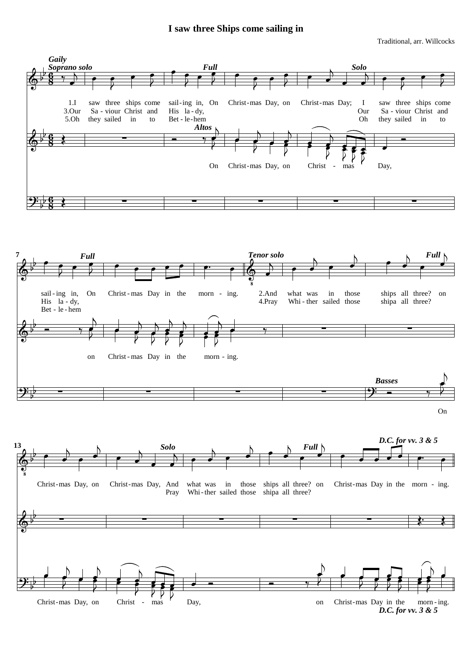## **I saw three Ships come sailing in**